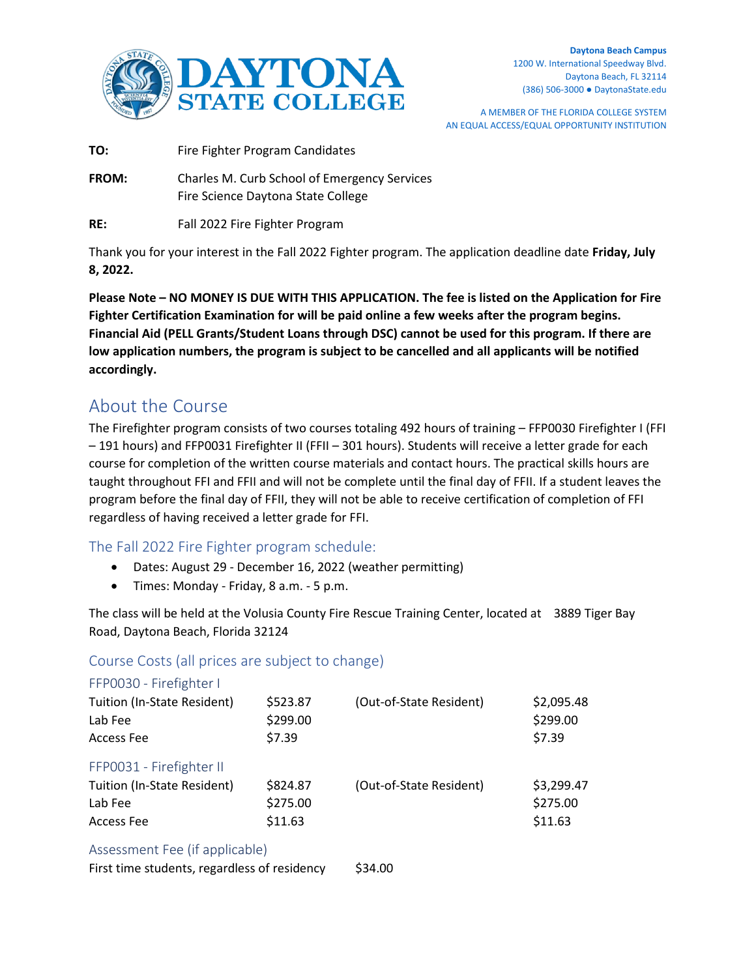

A MEMBER OF THE FLORIDA COLLEGE SYSTEM AN EQUAL ACCESS/EQUAL OPPORTUNITY INSTITUTION

**TO:** Fire Fighter Program Candidates

**FROM:** Charles M. Curb School of Emergency Services Fire Science Daytona State College

**RE:** Fall 2022 Fire Fighter Program

Thank you for your interest in the Fall 2022 Fighter program. The application deadline date **Friday, July 8, 2022.**

**Please Note – NO MONEY IS DUE WITH THIS APPLICATION. The fee is listed on the Application for Fire Fighter Certification Examination for will be paid online a few weeks after the program begins. Financial Aid (PELL Grants/Student Loans through DSC) cannot be used for this program. If there are low application numbers, the program is subject to be cancelled and all applicants will be notified accordingly.**

# About the Course

The Firefighter program consists of two courses totaling 492 hours of training – FFP0030 Firefighter I (FFI – 191 hours) and FFP0031 Firefighter II (FFII – 301 hours). Students will receive a letter grade for each course for completion of the written course materials and contact hours. The practical skills hours are taught throughout FFI and FFII and will not be complete until the final day of FFII. If a student leaves the program before the final day of FFII, they will not be able to receive certification of completion of FFI regardless of having received a letter grade for FFI.

## The Fall 2022 Fire Fighter program schedule:

- Dates: August 29 December 16, 2022 (weather permitting)
- Times: Monday Friday, 8 a.m. 5 p.m.

The class will be held at the Volusia County Fire Rescue Training Center, located at 3889 Tiger Bay Road, Daytona Beach, Florida 32124

## Course Costs (all prices are subject to change)

# FFP0030 - Firefighter I Tuition (In-State Resident) \$523.87 (Out-of-State Resident) \$2,095.48 Lab Fee \$299.00 \$299.00  $\text{Access} \text{Fe}$   $\text{Area}$   $\text{S7.39}$   $\text{S7.39}$ FFP0031 - Firefighter II Tuition (In-State Resident) \$824.87 (Out-of-State Resident) \$3,299.47 Lab Fee \$275.00 \$275.00 Access Fee \$11.63 \$11.63

## Assessment Fee (if applicable)

First time students, regardless of residency \$34.00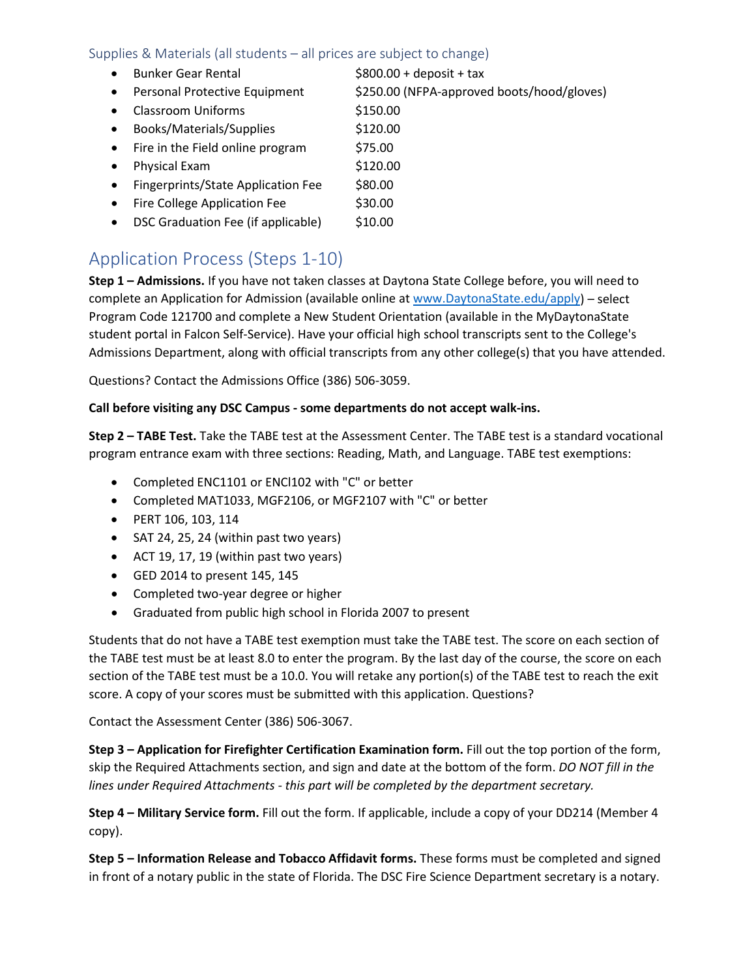## Supplies & Materials (all students – all prices are subject to change)

| $\bullet$ | <b>Bunker Gear Rental</b>          | $$800.00 + deposit + tax$                  |
|-----------|------------------------------------|--------------------------------------------|
| $\bullet$ | Personal Protective Equipment      | \$250.00 (NFPA-approved boots/hood/gloves) |
| $\bullet$ | <b>Classroom Uniforms</b>          | \$150.00                                   |
| $\bullet$ | Books/Materials/Supplies           | \$120.00                                   |
| $\bullet$ | Fire in the Field online program   | \$75.00                                    |
| $\bullet$ | <b>Physical Exam</b>               | \$120.00                                   |
| $\bullet$ | Fingerprints/State Application Fee | \$80.00                                    |
| $\bullet$ | Fire College Application Fee       | \$30.00                                    |
| $\bullet$ | DSC Graduation Fee (if applicable) | \$10.00                                    |
|           |                                    |                                            |

# Application Process (Steps 1-10)

**Step 1 – Admissions.** If you have not taken classes at Daytona State College before, you will need to complete an Application for Admission (available online a[t www.DaytonaState.edu/apply\)](http://www.daytonastate.edu/apply) – select Program Code 121700 and complete a New Student Orientation (available in the MyDaytonaState student portal in Falcon Self-Service). Have your official high school transcripts sent to the College's Admissions Department, along with official transcripts from any other college(s) that you have attended.

Questions? Contact the Admissions Office (386) 506-3059.

## **Call before visiting any DSC Campus - some departments do not accept walk-ins.**

**Step 2 – TABE Test.** Take the TABE test at the Assessment Center. The TABE test is a standard vocational program entrance exam with three sections: Reading, Math, and Language. TABE test exemptions:

- Completed ENC1101 or ENCl102 with "C" or better
- Completed MAT1033, MGF2106, or MGF2107 with "C" or better
- PERT 106, 103, 114
- SAT 24, 25, 24 (within past two years)
- ACT 19, 17, 19 (within past two years)
- GED 2014 to present 145, 145
- Completed two-year degree or higher
- Graduated from public high school in Florida 2007 to present

Students that do not have a TABE test exemption must take the TABE test. The score on each section of the TABE test must be at least 8.0 to enter the program. By the last day of the course, the score on each section of the TABE test must be a 10.0. You will retake any portion(s) of the TABE test to reach the exit score. A copy of your scores must be submitted with this application. Questions?

Contact the Assessment Center (386) 506-3067.

**Step 3 – Application for Firefighter Certification Examination form.** Fill out the top portion of the form, skip the Required Attachments section, and sign and date at the bottom of the form. *DO NOT fill in the lines under Required Attachments - this part will be completed by the department secretary.*

**Step 4 – Military Service form.** Fill out the form. If applicable, include a copy of your DD214 (Member 4 copy).

**Step 5 – Information Release and Tobacco Affidavit forms.** These forms must be completed and signed in front of a notary public in the state of Florida. The DSC Fire Science Department secretary is a notary.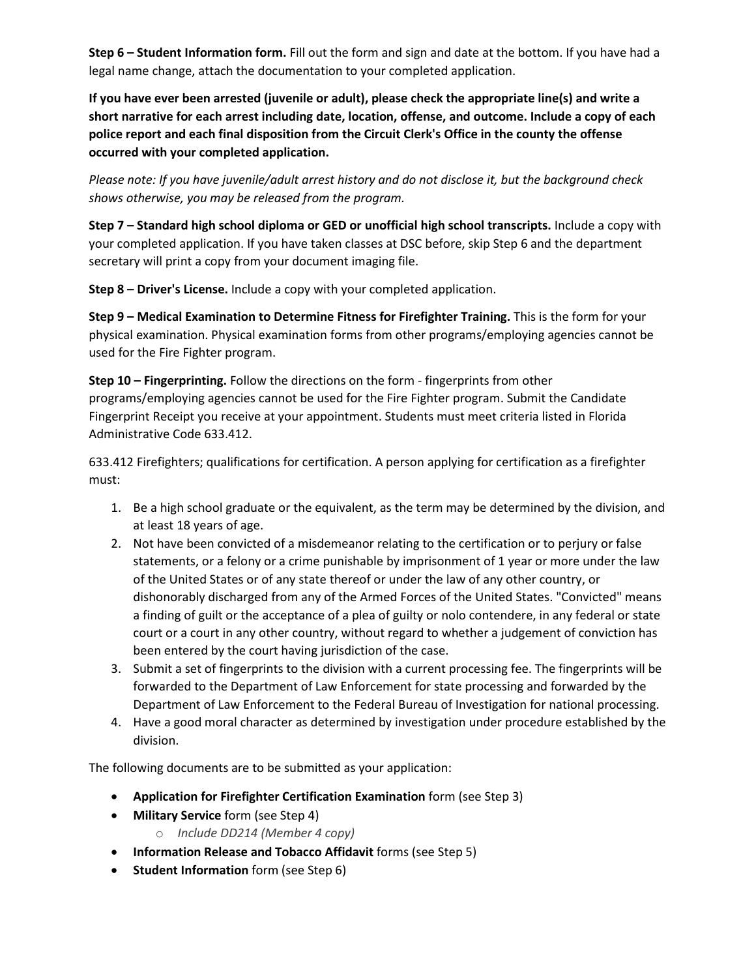**Step 6 – Student Information form.** Fill out the form and sign and date at the bottom. If you have had a legal name change, attach the documentation to your completed application.

**If you have ever been arrested (juvenile or adult), please check the appropriate line(s) and write a short narrative for each arrest including date, location, offense, and outcome. Include a copy of each police report and each final disposition from the Circuit Clerk's Office in the county the offense occurred with your completed application.**

*Please note: If you have juvenile/adult arrest history and do not disclose it, but the background check shows otherwise, you may be released from the program.*

**Step 7 – Standard high school diploma or GED or unofficial high school transcripts.** Include a copy with your completed application. If you have taken classes at DSC before, skip Step 6 and the department secretary will print a copy from your document imaging file.

**Step 8 – Driver's License.** Include a copy with your completed application.

**Step 9 – Medical Examination to Determine Fitness for Firefighter Training.** This is the form for your physical examination. Physical examination forms from other programs/employing agencies cannot be used for the Fire Fighter program.

**Step 10 – Fingerprinting.** Follow the directions on the form - fingerprints from other programs/employing agencies cannot be used for the Fire Fighter program. Submit the Candidate Fingerprint Receipt you receive at your appointment. Students must meet criteria listed in Florida Administrative Code 633.412.

633.412 Firefighters; qualifications for certification. A person applying for certification as a firefighter must:

- 1. Be a high school graduate or the equivalent, as the term may be determined by the division, and at least 18 years of age.
- 2. Not have been convicted of a misdemeanor relating to the certification or to perjury or false statements, or a felony or a crime punishable by imprisonment of 1 year or more under the law of the United States or of any state thereof or under the law of any other country, or dishonorably discharged from any of the Armed Forces of the United States. "Convicted" means a finding of guilt or the acceptance of a plea of guilty or nolo contendere, in any federal or state court or a court in any other country, without regard to whether a judgement of conviction has been entered by the court having jurisdiction of the case.
- 3. Submit a set of fingerprints to the division with a current processing fee. The fingerprints will be forwarded to the Department of Law Enforcement for state processing and forwarded by the Department of Law Enforcement to the Federal Bureau of Investigation for national processing.
- 4. Have a good moral character as determined by investigation under procedure established by the division.

The following documents are to be submitted as your application:

- **Application for Firefighter Certification Examination** form (see Step 3)
- **Military Service** form (see Step 4)
	- o *Include DD214 (Member 4 copy)*
- **Information Release and Tobacco Affidavit** forms (see Step 5)
- **Student Information** form (see Step 6)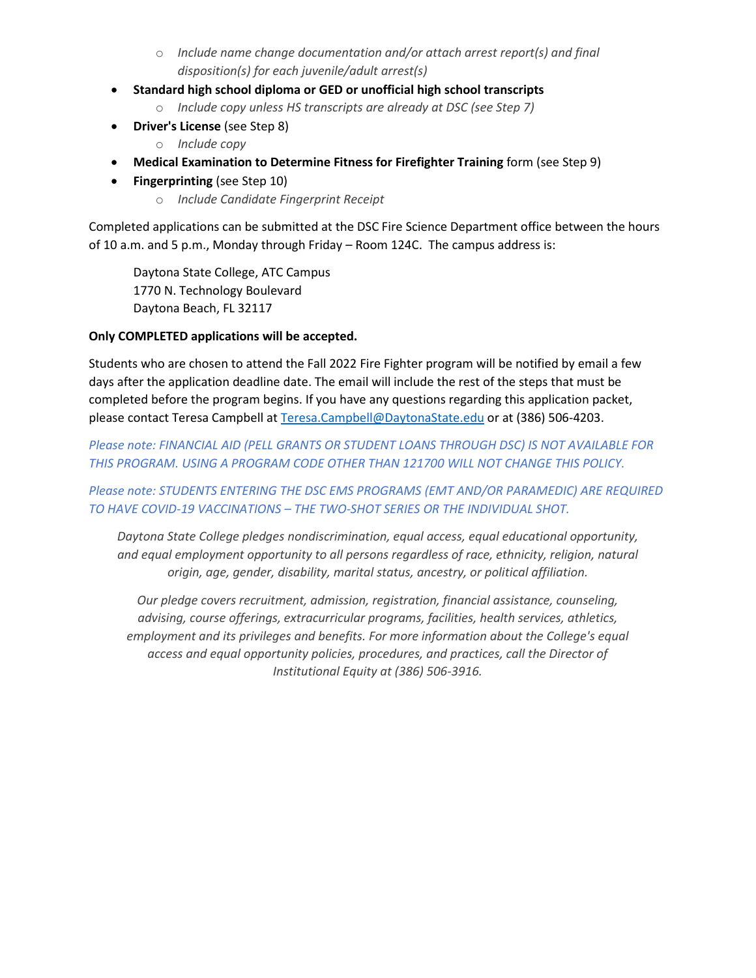- o *Include name change documentation and/or attach arrest report(s) and final disposition(s) for each juvenile/adult arrest(s)*
- **Standard high school diploma or GED or unofficial high school transcripts**
	- o *Include copy unless HS transcripts are already at DSC (see Step 7)*
- **Driver's License** (see Step 8)
	- o *Include copy*
- **Medical Examination to Determine Fitness for Firefighter Training** form (see Step 9)
- **Fingerprinting** (see Step 10)
	- o *Include Candidate Fingerprint Receipt*

Completed applications can be submitted at the DSC Fire Science Department office between the hours of 10 a.m. and 5 p.m., Monday through Friday – Room 124C. The campus address is:

Daytona State College, ATC Campus 1770 N. Technology Boulevard Daytona Beach, FL 32117

## **Only COMPLETED applications will be accepted.**

Students who are chosen to attend the Fall 2022 Fire Fighter program will be notified by email a few days after the application deadline date. The email will include the rest of the steps that must be completed before the program begins. If you have any questions regarding this application packet, please contact Teresa Campbell at [Teresa.Campbell@DaytonaState.edu](mailto:Teresa.Campbell@DaytonaState.edu) or at (386) 506-4203.

*Please note: FINANCIAL AID (PELL GRANTS OR STUDENT LOANS THROUGH DSC) IS NOT AVAILABLE FOR THIS PROGRAM. USING A PROGRAM CODE OTHER THAN 121700 WILL NOT CHANGE THIS POLICY.*

*Please note: STUDENTS ENTERING THE DSC EMS PROGRAMS (EMT AND/OR PARAMEDIC) ARE REQUIRED TO HAVE COVID-19 VACCINATIONS – THE TWO-SHOT SERIES OR THE INDIVIDUAL SHOT.* 

*Daytona State College pledges nondiscrimination, equal access, equal educational opportunity, and equal employment opportunity to all persons regardless of race, ethnicity, religion, natural origin, age, gender, disability, marital status, ancestry, or political affiliation.*

*Our pledge covers recruitment, admission, registration, financial assistance, counseling, advising, course offerings, extracurricular programs, facilities, health services, athletics, employment and its privileges and benefits. For more information about the College's equal access and equal opportunity policies, procedures, and practices, call the Director of Institutional Equity at (386) 506-3916.*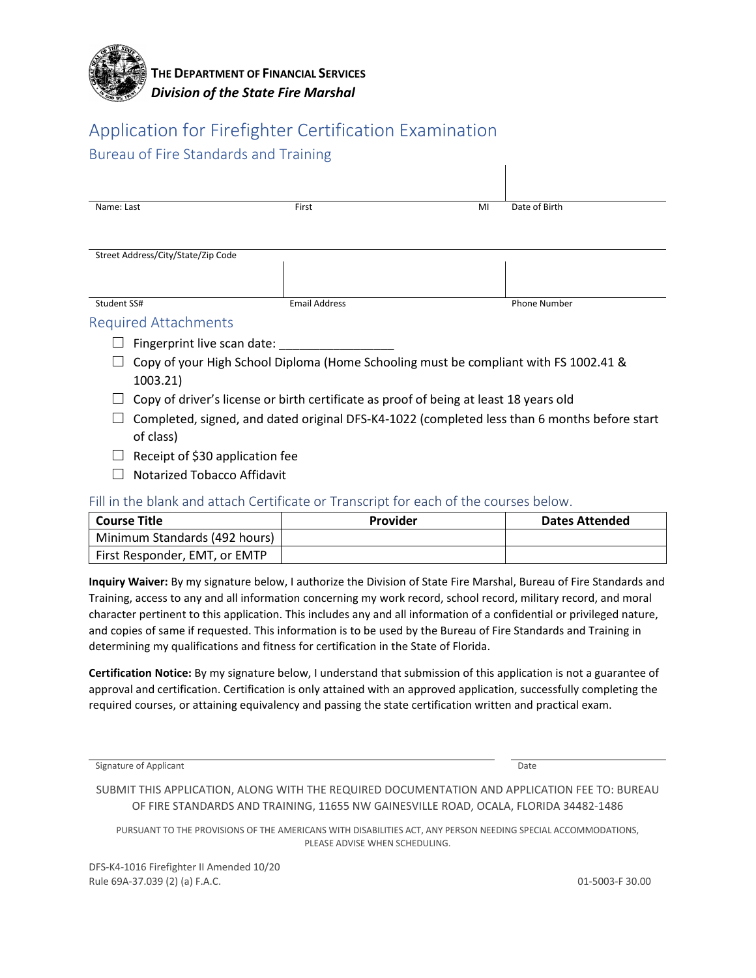

# Application for Firefighter Certification Examination

## Bureau of Fire Standards and Training

| Name: Last                         | First                | MI | Date of Birth |
|------------------------------------|----------------------|----|---------------|
|                                    |                      |    |               |
|                                    |                      |    |               |
| Street Address/City/State/Zip Code |                      |    |               |
|                                    |                      |    |               |
|                                    |                      |    |               |
| Student SS#                        | <b>Email Address</b> |    | Phone Number  |

#### Required Attachments

- $\Box$  Fingerprint live scan date:
- $\Box$  Copy of your High School Diploma (Home Schooling must be compliant with FS 1002.41 & 1003.21)
- $\Box$  Copy of driver's license or birth certificate as proof of being at least 18 years old
- $\Box$  Completed, signed, and dated original DFS-K4-1022 (completed less than 6 months before start of class)
- $\Box$  Receipt of \$30 application fee
- ☐ Notarized Tobacco Affidavit

## Fill in the blank and attach Certificate or Transcript for each of the courses below.

| <b>Course Title</b>           | Provider | <b>Dates Attended</b> |
|-------------------------------|----------|-----------------------|
| Minimum Standards (492 hours) |          |                       |
| First Responder, EMT, or EMTP |          |                       |

**Inquiry Waiver:** By my signature below, I authorize the Division of State Fire Marshal, Bureau of Fire Standards and Training, access to any and all information concerning my work record, school record, military record, and moral character pertinent to this application. This includes any and all information of a confidential or privileged nature, and copies of same if requested. This information is to be used by the Bureau of Fire Standards and Training in determining my qualifications and fitness for certification in the State of Florida.

**Certification Notice:** By my signature below, I understand that submission of this application is not a guarantee of approval and certification. Certification is only attained with an approved application, successfully completing the required courses, or attaining equivalency and passing the state certification written and practical exam.

Signature of Applicant Date of Applicant Date of Applicant Date of Applicant Date of Applicant Date of Applicant Date of Applicant Date of Applicant Date of Applicant Date of Applicant Date of Applicant Date of Applicant D

SUBMIT THIS APPLICATION, ALONG WITH THE REQUIRED DOCUMENTATION AND APPLICATION FEE TO: BUREAU OF FIRE STANDARDS AND TRAINING, 11655 NW GAINESVILLE ROAD, OCALA, FLORIDA 34482-1486

PURSUANT TO THE PROVISIONS OF THE AMERICANS WITH DISABILITIES ACT, ANY PERSON NEEDING SPECIAL ACCOMMODATIONS, PLEASE ADVISE WHEN SCHEDULING.

DFS-K4-1016 Firefighter II Amended 10/20 Rule 69A-37.039 (2) (a) F.A.C. 01-5003-F 30.00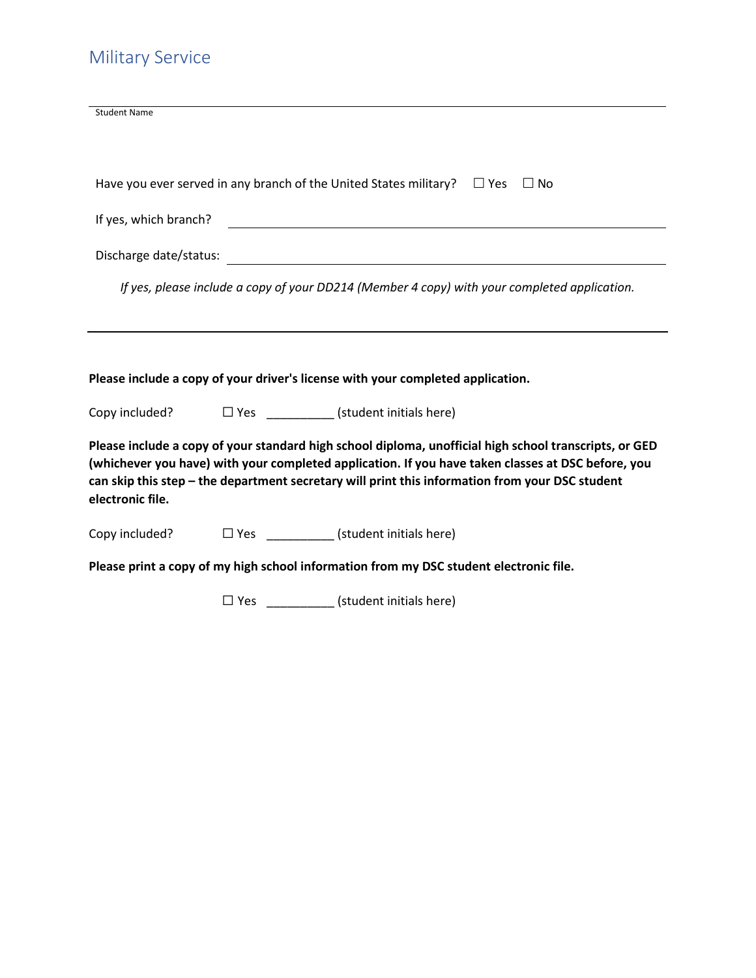# Military Service

| <b>Student Name</b>                |                                                                                                                                                                                                              |
|------------------------------------|--------------------------------------------------------------------------------------------------------------------------------------------------------------------------------------------------------------|
|                                    | Have you ever served in any branch of the United States military? $\square$ Yes $\square$ No                                                                                                                 |
| If yes, which branch?              |                                                                                                                                                                                                              |
|                                    |                                                                                                                                                                                                              |
|                                    | If yes, please include a copy of your DD214 (Member 4 copy) with your completed application.                                                                                                                 |
|                                    |                                                                                                                                                                                                              |
|                                    |                                                                                                                                                                                                              |
|                                    |                                                                                                                                                                                                              |
|                                    |                                                                                                                                                                                                              |
|                                    | Please include a copy of your driver's license with your completed application.<br>Copy included? $\Box$ Yes (student initials here)                                                                         |
|                                    |                                                                                                                                                                                                              |
|                                    | Please include a copy of your standard high school diploma, unofficial high school transcripts, or GED<br>(whichever you have) with your completed application. If you have taken classes at DSC before, you |
|                                    | can skip this step - the department secretary will print this information from your DSC student                                                                                                              |
| electronic file.<br>Copy included? | $\Box$ Yes (student initials here)                                                                                                                                                                           |
|                                    | Please print a copy of my high school information from my DSC student electronic file.                                                                                                                       |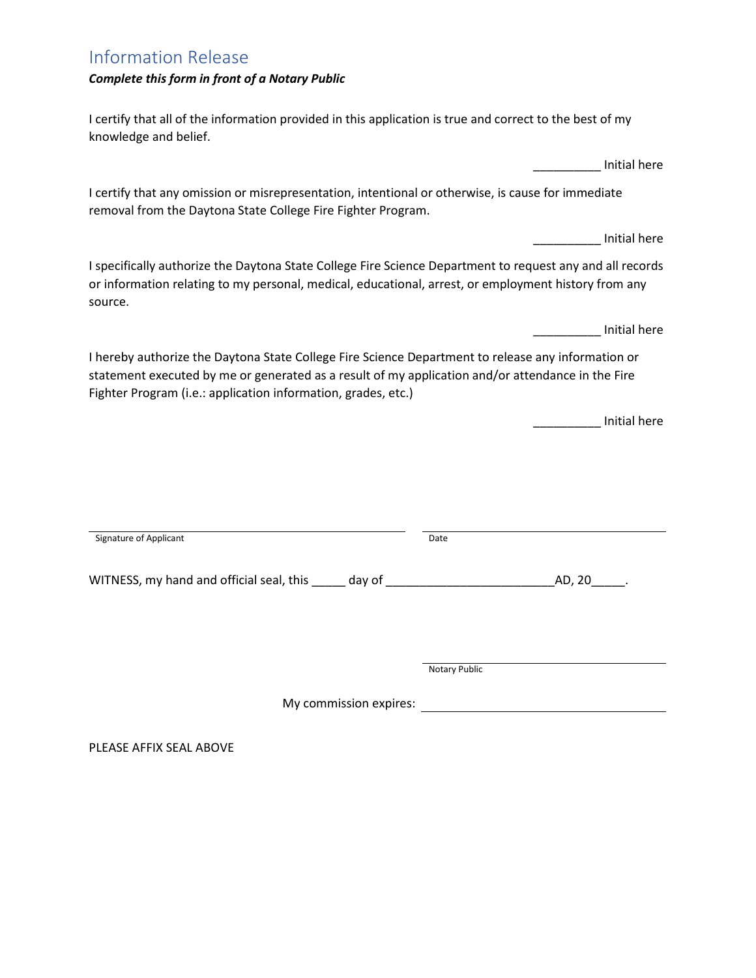## Information Release

*Complete this form in front of a Notary Public*

I certify that all of the information provided in this application is true and correct to the best of my knowledge and belief.

I certify that any omission or misrepresentation, intentional or otherwise, is cause for immediate removal from the Daytona State College Fire Fighter Program.

\_\_\_\_\_\_\_\_\_\_ Initial here

\_\_\_\_\_\_\_\_\_\_ Initial here

I specifically authorize the Daytona State College Fire Science Department to request any and all records or information relating to my personal, medical, educational, arrest, or employment history from any source.

\_\_\_\_\_\_\_\_\_\_ Initial here

I hereby authorize the Daytona State College Fire Science Department to release any information or statement executed by me or generated as a result of my application and/or attendance in the Fire Fighter Program (i.e.: application information, grades, etc.)

\_\_\_\_\_\_\_\_\_\_ Initial here

WITNESS, my hand and official seal, this \_\_\_\_\_ day of \_\_\_\_\_\_\_\_\_\_\_\_\_\_\_\_\_\_\_\_\_\_\_\_\_AD, 20\_\_\_\_\_.

Notary Public

My commission expires:

PLEASE AFFIX SEAL ABOVE

Signature of Applicant Date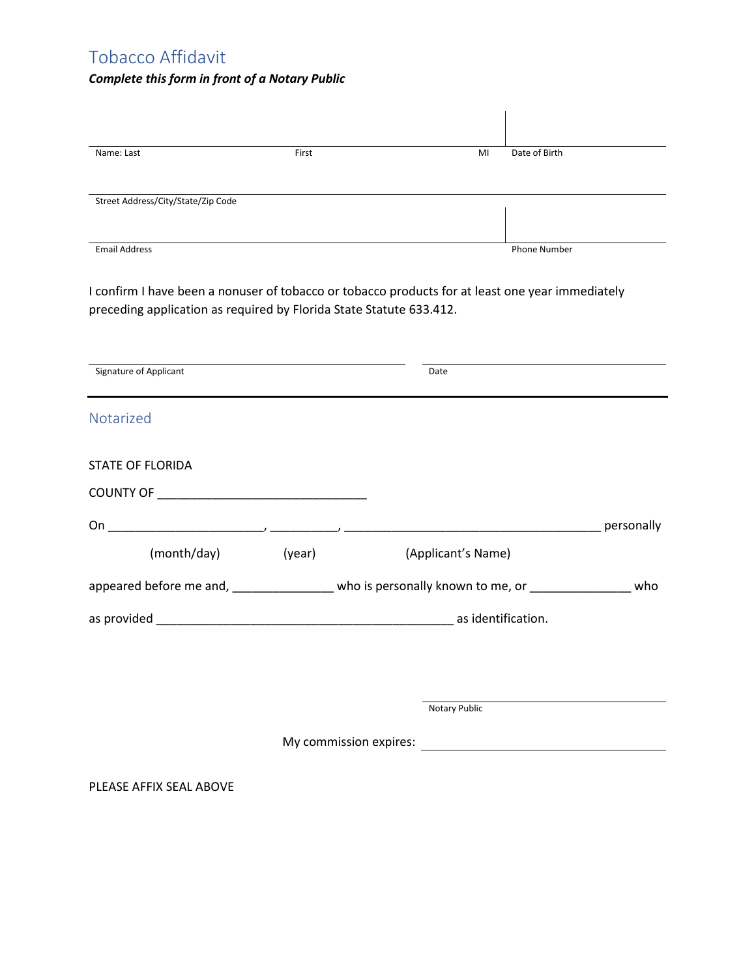# Tobacco Affidavit

## *Complete this form in front of a Notary Public*

| Name: Last                         | First | Date of Birth<br>MI |
|------------------------------------|-------|---------------------|
| Street Address/City/State/Zip Code |       |                     |
| <b>Email Address</b>               |       | Phone Number        |

I confirm I have been a nonuser of tobacco or tobacco products for at least one year immediately preceding application as required by Florida State Statute 633.412.

| Signature of Applicant                                                                        |  | Date               |  |
|-----------------------------------------------------------------------------------------------|--|--------------------|--|
| Notarized                                                                                     |  |                    |  |
| <b>STATE OF FLORIDA</b>                                                                       |  |                    |  |
|                                                                                               |  |                    |  |
|                                                                                               |  |                    |  |
| (month/day) (year)                                                                            |  | (Applicant's Name) |  |
| appeared before me and, ________________ who is personally known to me, or ______________ who |  |                    |  |
|                                                                                               |  |                    |  |
|                                                                                               |  |                    |  |
|                                                                                               |  |                    |  |
|                                                                                               |  | Notary Public      |  |
|                                                                                               |  |                    |  |
| PLEASE AFFIX SEAL ABOVE                                                                       |  |                    |  |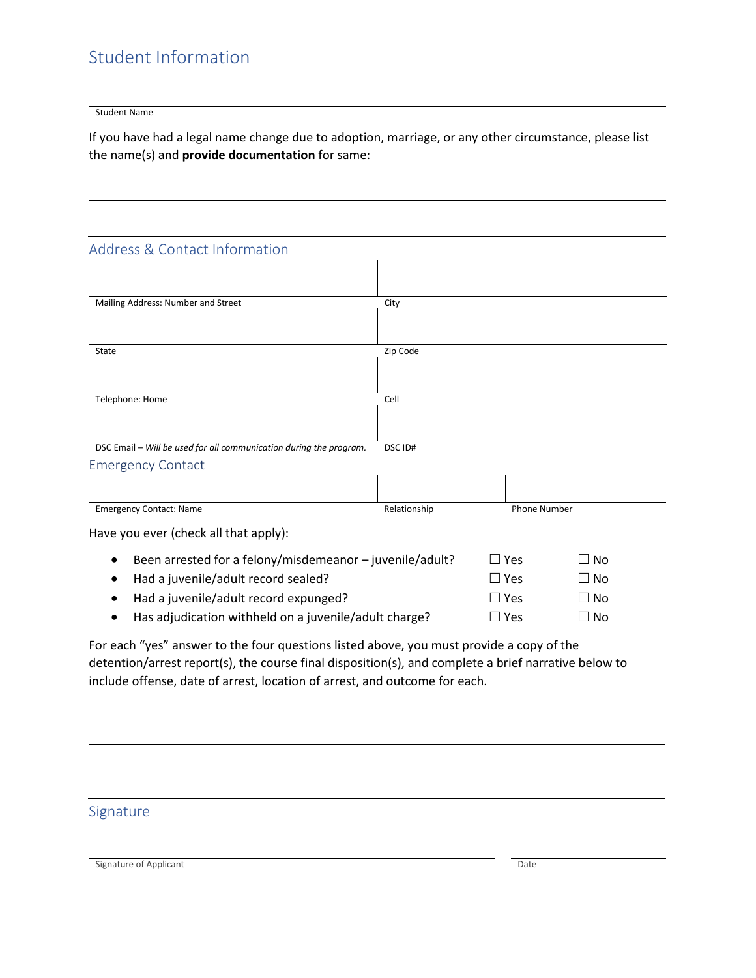# Student Information

#### Student Name

If you have had a legal name change due to adoption, marriage, or any other circumstance, please list the name(s) and **provide documentation** for same:

| <b>Address &amp; Contact Information</b>                                                             |                    |               |                     |
|------------------------------------------------------------------------------------------------------|--------------------|---------------|---------------------|
|                                                                                                      |                    |               |                     |
|                                                                                                      |                    |               |                     |
| Mailing Address: Number and Street                                                                   | City               |               |                     |
|                                                                                                      |                    |               |                     |
| State                                                                                                | Zip Code           |               |                     |
|                                                                                                      |                    |               |                     |
|                                                                                                      |                    |               |                     |
| Telephone: Home                                                                                      | Cell               |               |                     |
|                                                                                                      |                    |               |                     |
|                                                                                                      | DSC <sub>ID#</sub> |               |                     |
| DSC Email - Will be used for all communication during the program.                                   |                    |               |                     |
| <b>Emergency Contact</b>                                                                             |                    |               |                     |
|                                                                                                      |                    |               |                     |
| <b>Emergency Contact: Name</b>                                                                       | Relationship       |               | <b>Phone Number</b> |
| Have you ever (check all that apply):                                                                |                    |               |                     |
| Been arrested for a felony/misdemeanor - juvenile/adult?                                             |                    | $\Box$ Yes    | ∃ No                |
| Had a juvenile/adult record sealed?<br>$\bullet$                                                     |                    | $\Box$ Yes    | $\Box$ No           |
| Had a juvenile/adult record expunged?                                                                |                    | $\square$ Yes | $\Box$ No           |
| Has adjudication withheld on a juvenile/adult charge?                                                |                    | $\square$ Yes | $\Box$ No           |
| For each "yes" answer to the four questions listed above, you must provide a copy of the             |                    |               |                     |
| detention/arrest report(s), the course final disposition(s), and complete a brief narrative below to |                    |               |                     |
| include offense, date of arrest, location of arrest, and outcome for each.                           |                    |               |                     |
|                                                                                                      |                    |               |                     |

## Signature

Signature of Applicant Date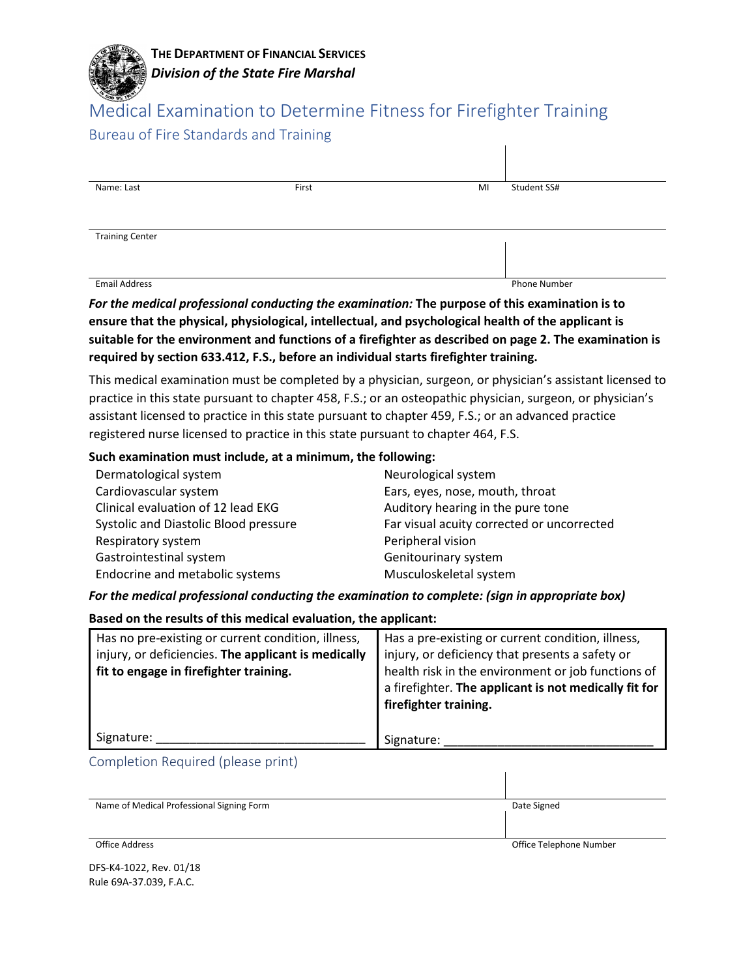

| Name: Last             | First | MI | Student SS#         |  |
|------------------------|-------|----|---------------------|--|
|                        |       |    |                     |  |
|                        |       |    |                     |  |
| <b>Training Center</b> |       |    |                     |  |
|                        |       |    |                     |  |
|                        |       |    |                     |  |
| <b>Email Address</b>   |       |    | <b>Phone Number</b> |  |

 $\mathsf{I}$ 

*For the medical professional conducting the examination:* **The purpose of this examination is to ensure that the physical, physiological, intellectual, and psychological health of the applicant is suitable for the environment and functions of a firefighter as described on page 2. The examination is required by section 633.412, F.S., before an individual starts firefighter training.**

This medical examination must be completed by a physician, surgeon, or physician's assistant licensed to practice in this state pursuant to chapter 458, F.S.; or an osteopathic physician, surgeon, or physician's assistant licensed to practice in this state pursuant to chapter 459, F.S.; or an advanced practice registered nurse licensed to practice in this state pursuant to chapter 464, F.S.

#### **Such examination must include, at a minimum, the following:**

| Dermatological system                 | Neurological system                        |
|---------------------------------------|--------------------------------------------|
| Cardiovascular system                 | Ears, eyes, nose, mouth, throat            |
| Clinical evaluation of 12 lead EKG    | Auditory hearing in the pure tone          |
| Systolic and Diastolic Blood pressure | Far visual acuity corrected or uncorrected |
| Respiratory system                    | Peripheral vision                          |
| Gastrointestinal system               | Genitourinary system                       |
| Endocrine and metabolic systems       | Musculoskeletal system                     |

#### *For the medical professional conducting the examination to complete: (sign in appropriate box)*

#### **Based on the results of this medical evaluation, the applicant:**

| Has no pre-existing or current condition, illness,<br>injury, or deficiencies. The applicant is medically<br>fit to engage in firefighter training. | Has a pre-existing or current condition, illness,<br>injury, or deficiency that presents a safety or<br>health risk in the environment or job functions of<br>a firefighter. The applicant is not medically fit for<br>firefighter training. |
|-----------------------------------------------------------------------------------------------------------------------------------------------------|----------------------------------------------------------------------------------------------------------------------------------------------------------------------------------------------------------------------------------------------|
| Signature:                                                                                                                                          | Signature:                                                                                                                                                                                                                                   |

#### Completion Required (please print)

| Name of Medical Professional Signing Form | Date Signed             |
|-------------------------------------------|-------------------------|
|                                           |                         |
|                                           |                         |
| Office Address                            | Office Telephone Number |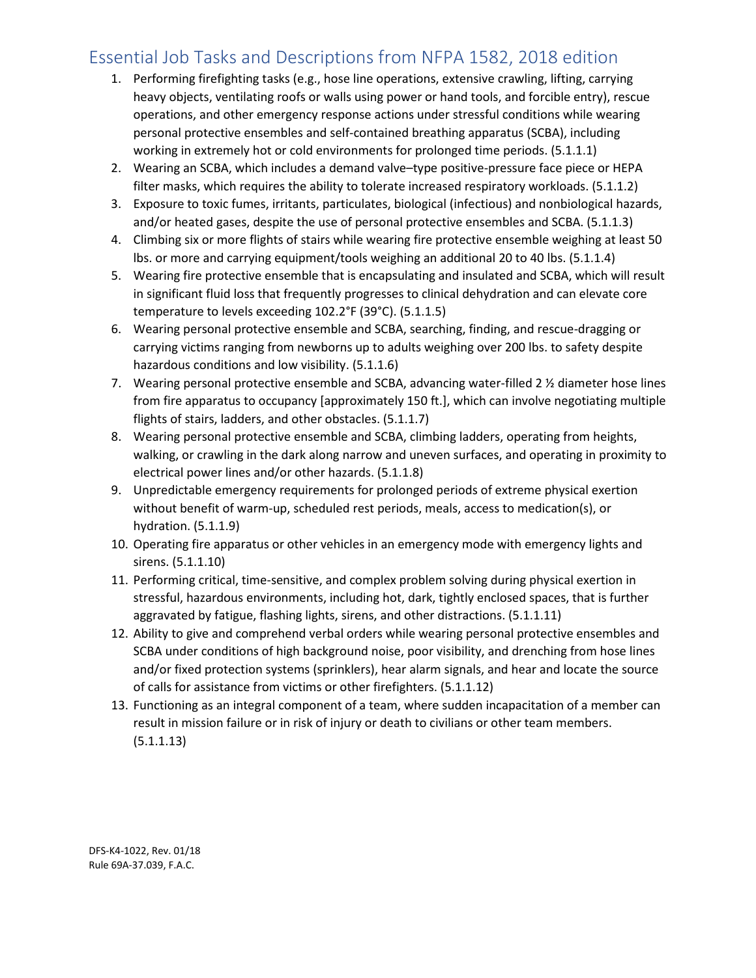# Essential Job Tasks and Descriptions from NFPA 1582, 2018 edition

- 1. Performing firefighting tasks (e.g., hose line operations, extensive crawling, lifting, carrying heavy objects, ventilating roofs or walls using power or hand tools, and forcible entry), rescue operations, and other emergency response actions under stressful conditions while wearing personal protective ensembles and self-contained breathing apparatus (SCBA), including working in extremely hot or cold environments for prolonged time periods. (5.1.1.1)
- 2. Wearing an SCBA, which includes a demand valve–type positive-pressure face piece or HEPA filter masks, which requires the ability to tolerate increased respiratory workloads. (5.1.1.2)
- 3. Exposure to toxic fumes, irritants, particulates, biological (infectious) and nonbiological hazards, and/or heated gases, despite the use of personal protective ensembles and SCBA. (5.1.1.3)
- 4. Climbing six or more flights of stairs while wearing fire protective ensemble weighing at least 50 lbs. or more and carrying equipment/tools weighing an additional 20 to 40 lbs. (5.1.1.4)
- 5. Wearing fire protective ensemble that is encapsulating and insulated and SCBA, which will result in significant fluid loss that frequently progresses to clinical dehydration and can elevate core temperature to levels exceeding 102.2°F (39°C). (5.1.1.5)
- 6. Wearing personal protective ensemble and SCBA, searching, finding, and rescue-dragging or carrying victims ranging from newborns up to adults weighing over 200 lbs. to safety despite hazardous conditions and low visibility. (5.1.1.6)
- 7. Wearing personal protective ensemble and SCBA, advancing water-filled 2 ½ diameter hose lines from fire apparatus to occupancy [approximately 150 ft.], which can involve negotiating multiple flights of stairs, ladders, and other obstacles. (5.1.1.7)
- 8. Wearing personal protective ensemble and SCBA, climbing ladders, operating from heights, walking, or crawling in the dark along narrow and uneven surfaces, and operating in proximity to electrical power lines and/or other hazards. (5.1.1.8)
- 9. Unpredictable emergency requirements for prolonged periods of extreme physical exertion without benefit of warm-up, scheduled rest periods, meals, access to medication(s), or hydration. (5.1.1.9)
- 10. Operating fire apparatus or other vehicles in an emergency mode with emergency lights and sirens. (5.1.1.10)
- 11. Performing critical, time-sensitive, and complex problem solving during physical exertion in stressful, hazardous environments, including hot, dark, tightly enclosed spaces, that is further aggravated by fatigue, flashing lights, sirens, and other distractions. (5.1.1.11)
- 12. Ability to give and comprehend verbal orders while wearing personal protective ensembles and SCBA under conditions of high background noise, poor visibility, and drenching from hose lines and/or fixed protection systems (sprinklers), hear alarm signals, and hear and locate the source of calls for assistance from victims or other firefighters. (5.1.1.12)
- 13. Functioning as an integral component of a team, where sudden incapacitation of a member can result in mission failure or in risk of injury or death to civilians or other team members. (5.1.1.13)

DFS-K4-1022, Rev. 01/18 Rule 69A-37.039, F.A.C.